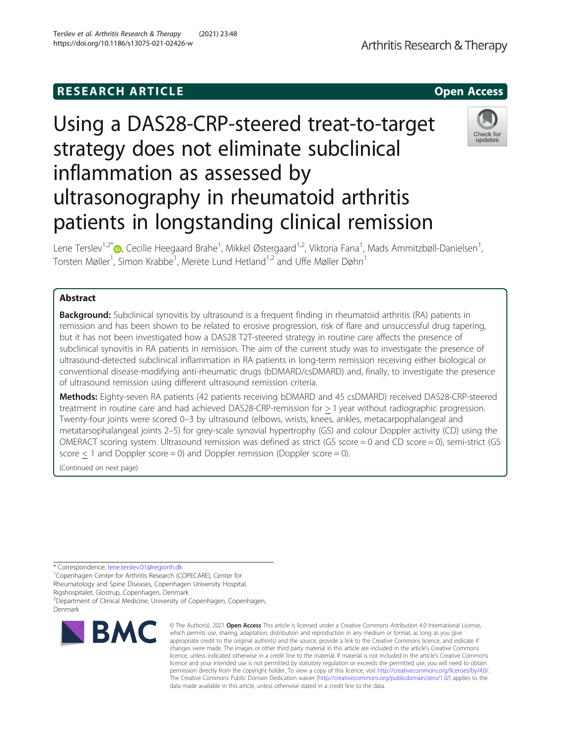# **RESEARCH ARTICLE Example 2014 12:30 The SEAR CH ACCESS**

# Using a DAS28-CRP-steered treat-to-target strategy does not eliminate subclinical inflammation as assessed by ultrasonography in rheumatoid arthritis patients in longstanding clinical remission

Lene Terslev<sup>1,2[\\*](http://orcid.org/0000-0001-8193-9471)</sup>®, Cecilie Heegaard Brahe<sup>1</sup>, Mikkel Østergaard<sup>1,2</sup>, Viktoria Fana<sup>1</sup>, Mads Ammitzbøll-Danielsen<sup>1</sup> , Torsten Møller<sup>1</sup>, Simon Krabbe<sup>1</sup>, Merete Lund Hetland<sup>1,2</sup> and Uffe Møller Døhn<sup>1</sup>

# Abstract

**Background:** Subclinical synovitis by ultrasound is a frequent finding in rheumatoid arthritis (RA) patients in remission and has been shown to be related to erosive progression, risk of flare and unsuccessful drug tapering, but it has not been investigated how a DAS28 T2T-steered strategy in routine care affects the presence of subclinical synovitis in RA patients in remission. The aim of the current study was to investigate the presence of ultrasound-detected subclinical inflammation in RA patients in long-term remission receiving either biological or conventional disease-modifying anti-rheumatic drugs (bDMARD/csDMARD) and, finally, to investigate the presence of ultrasound remission using different ultrasound remission criteria.

Methods: Eighty-seven RA patients (42 patients receiving bDMARD and 45 csDMARD) received DAS28-CRP-steered treatment in routine care and had achieved DAS28-CRP-remission for > 1 year without radiographic progression. Twenty-four joints were scored 0–3 by ultrasound (elbows, wrists, knees, ankles, metacarpophalangeal and metatarsophalangeal joints 2–5) for grey-scale synovial hypertrophy (GS) and colour Doppler activity (CD) using the OMERACT scoring system. Ultrasound remission was defined as strict (GS score = 0 and CD score = 0), semi-strict (GS score  $<$  1 and Doppler score = 0) and Doppler remission (Doppler score = 0).

(Continued on next page)

\* Correspondence: [lene.terslev.01@regionh.dk](mailto:lene.terslev.01@regionh.dk) <sup>1</sup>

<sup>1</sup> Copenhagen Center for Arthritis Research (COPECARE), Center for

Rheumatology and Spine Diseases, Copenhagen University Hospital,

<sup>2</sup> Department of Clinical Medicine, University of Copenhagen, Copenhagen,

# Rigshospitalet, Glostrup, Copenhagen, Denmark

Denmark



© The Author(s). 2021 Open Access This article is licensed under a Creative Commons Attribution 4.0 International License, which permits use, sharing, adaptation, distribution and reproduction in any medium or format, as long as you give appropriate credit to the original author(s) and the source, provide a link to the Creative Commons licence, and indicate if changes were made. The images or other third party material in this article are included in the article's Creative Commons licence, unless indicated otherwise in a credit line to the material. If material is not included in the article's Creative Commons licence and your intended use is not permitted by statutory regulation or exceeds the permitted use, you will need to obtain permission directly from the copyright holder. To view a copy of this licence, visit [http://creativecommons.org/licenses/by/4.0/.](http://creativecommons.org/licenses/by/4.0/) The Creative Commons Public Domain Dedication waiver [\(http://creativecommons.org/publicdomain/zero/1.0/](http://creativecommons.org/publicdomain/zero/1.0/)) applies to the data made available in this article, unless otherwise stated in a credit line to the data.



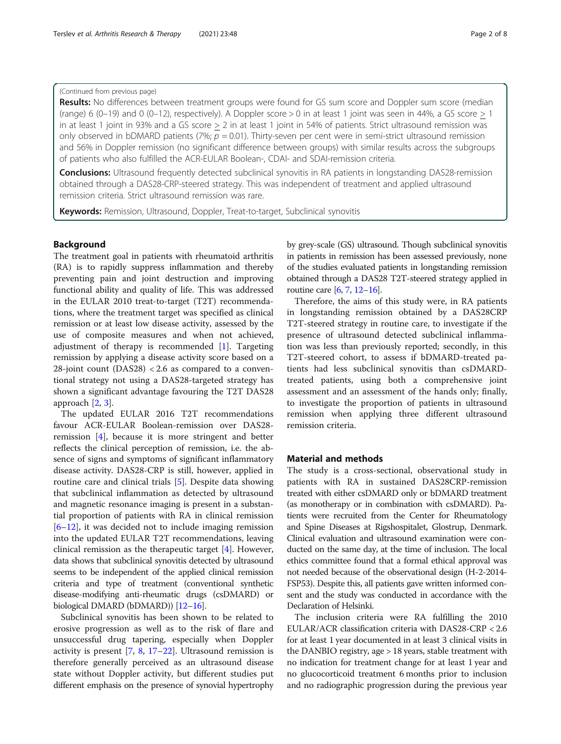# (Continued from previous page)

Results: No differences between treatment groups were found for GS sum score and Doppler sum score (median (range) 6 (0–19) and 0 (0–12), respectively). A Doppler score  $> 0$  in at least 1 joint was seen in 44%, a GS score  $> 1$ in at least 1 joint in 93% and a GS score > 2 in at least 1 joint in 54% of patients. Strict ultrasound remission was only observed in bDMARD patients (7%;  $p = 0.01$ ). Thirty-seven per cent were in semi-strict ultrasound remission and 56% in Doppler remission (no significant difference between groups) with similar results across the subgroups of patients who also fulfilled the ACR-EULAR Boolean-, CDAI- and SDAI-remission criteria.

Conclusions: Ultrasound frequently detected subclinical synovitis in RA patients in longstanding DAS28-remission obtained through a DAS28-CRP-steered strategy. This was independent of treatment and applied ultrasound remission criteria. Strict ultrasound remission was rare.

Keywords: Remission, Ultrasound, Doppler, Treat-to-target, Subclinical synovitis

# Background

The treatment goal in patients with rheumatoid arthritis (RA) is to rapidly suppress inflammation and thereby preventing pain and joint destruction and improving functional ability and quality of life. This was addressed in the EULAR 2010 treat-to-target (T2T) recommendations, where the treatment target was specified as clinical remission or at least low disease activity, assessed by the use of composite measures and when not achieved, adjustment of therapy is recommended  $[1]$  $[1]$ . Targeting remission by applying a disease activity score based on a 28-joint count  $(DAS28)$  < 2.6 as compared to a conventional strategy not using a DAS28-targeted strategy has shown a significant advantage favouring the T2T DAS28 approach [[2](#page-6-0), [3](#page-6-0)].

The updated EULAR 2016 T2T recommendations favour ACR-EULAR Boolean-remission over DAS28 remission [\[4](#page-6-0)], because it is more stringent and better reflects the clinical perception of remission, i.e. the absence of signs and symptoms of significant inflammatory disease activity. DAS28-CRP is still, however, applied in routine care and clinical trials [\[5\]](#page-6-0). Despite data showing that subclinical inflammation as detected by ultrasound and magnetic resonance imaging is present in a substantial proportion of patients with RA in clinical remission  $[6–12]$  $[6–12]$  $[6–12]$  $[6–12]$ , it was decided not to include imaging remission into the updated EULAR T2T recommendations, leaving clinical remission as the therapeutic target [\[4](#page-6-0)]. However, data shows that subclinical synovitis detected by ultrasound seems to be independent of the applied clinical remission criteria and type of treatment (conventional synthetic disease-modifying anti-rheumatic drugs (csDMARD) or biological DMARD (bDMARD)) [[12](#page-6-0)–[16](#page-7-0)].

Subclinical synovitis has been shown to be related to erosive progression as well as to the risk of flare and unsuccessful drug tapering, especially when Doppler activity is present  $[7, 8, 17–22]$  $[7, 8, 17–22]$  $[7, 8, 17–22]$  $[7, 8, 17–22]$  $[7, 8, 17–22]$  $[7, 8, 17–22]$  $[7, 8, 17–22]$ . Ultrasound remission is therefore generally perceived as an ultrasound disease state without Doppler activity, but different studies put different emphasis on the presence of synovial hypertrophy by grey-scale (GS) ultrasound. Though subclinical synovitis in patients in remission has been assessed previously, none of the studies evaluated patients in longstanding remission obtained through a DAS28 T2T-steered strategy applied in routine care [\[6](#page-6-0), [7](#page-6-0), [12](#page-6-0)–[16\]](#page-7-0).

Therefore, the aims of this study were, in RA patients in longstanding remission obtained by a DAS28CRP T2T-steered strategy in routine care, to investigate if the presence of ultrasound detected subclinical inflammation was less than previously reported; secondly, in this T2T-steered cohort, to assess if bDMARD-treated patients had less subclinical synovitis than csDMARDtreated patients, using both a comprehensive joint assessment and an assessment of the hands only; finally, to investigate the proportion of patients in ultrasound remission when applying three different ultrasound remission criteria.

# Material and methods

The study is a cross-sectional, observational study in patients with RA in sustained DAS28CRP-remission treated with either csDMARD only or bDMARD treatment (as monotherapy or in combination with csDMARD). Patients were recruited from the Center for Rheumatology and Spine Diseases at Rigshospitalet, Glostrup, Denmark. Clinical evaluation and ultrasound examination were conducted on the same day, at the time of inclusion. The local ethics committee found that a formal ethical approval was not needed because of the observational design (H-2-2014- FSP53). Despite this, all patients gave written informed consent and the study was conducted in accordance with the Declaration of Helsinki.

The inclusion criteria were RA fulfilling the 2010 EULAR/ACR classification criteria with DAS28-CRP < 2.6 for at least 1 year documented in at least 3 clinical visits in the DANBIO registry, age > 18 years, stable treatment with no indication for treatment change for at least 1 year and no glucocorticoid treatment 6 months prior to inclusion and no radiographic progression during the previous year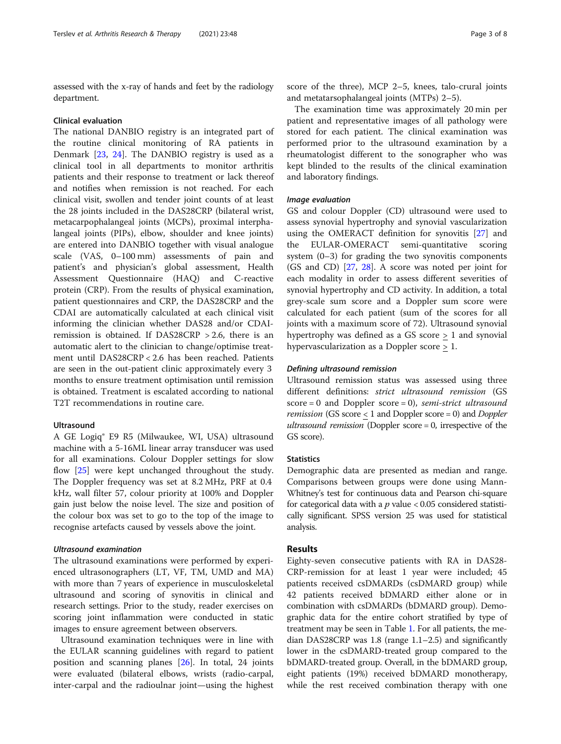assessed with the x-ray of hands and feet by the radiology department.

#### Clinical evaluation

The national DANBIO registry is an integrated part of the routine clinical monitoring of RA patients in Denmark [[23,](#page-7-0) [24](#page-7-0)]. The DANBIO registry is used as a clinical tool in all departments to monitor arthritis patients and their response to treatment or lack thereof and notifies when remission is not reached. For each clinical visit, swollen and tender joint counts of at least the 28 joints included in the DAS28CRP (bilateral wrist, metacarpophalangeal joints (MCPs), proximal interphalangeal joints (PIPs), elbow, shoulder and knee joints) are entered into DANBIO together with visual analogue scale (VAS, 0–100 mm) assessments of pain and patient's and physician's global assessment, Health Assessment Questionnaire (HAQ) and C-reactive protein (CRP). From the results of physical examination, patient questionnaires and CRP, the DAS28CRP and the CDAI are automatically calculated at each clinical visit informing the clinician whether DAS28 and/or CDAIremission is obtained. If DAS28CRP  $> 2.6$ , there is an automatic alert to the clinician to change/optimise treatment until DAS28CRP < 2.6 has been reached. Patients are seen in the out-patient clinic approximately every 3 months to ensure treatment optimisation until remission is obtained. Treatment is escalated according to national T2T recommendations in routine care.

# Ultrasound

A GE Logiq® E9 R5 (Milwaukee, WI, USA) ultrasound machine with a 5-16ML linear array transducer was used for all examinations. Colour Doppler settings for slow flow [\[25](#page-7-0)] were kept unchanged throughout the study. The Doppler frequency was set at 8.2 MHz, PRF at 0.4 kHz, wall filter 57, colour priority at 100% and Doppler gain just below the noise level. The size and position of the colour box was set to go to the top of the image to recognise artefacts caused by vessels above the joint.

# Ultrasound examination

The ultrasound examinations were performed by experienced ultrasonographers (LT, VF, TM, UMD and MA) with more than 7 years of experience in musculoskeletal ultrasound and scoring of synovitis in clinical and research settings. Prior to the study, reader exercises on scoring joint inflammation were conducted in static images to ensure agreement between observers.

Ultrasound examination techniques were in line with the EULAR scanning guidelines with regard to patient position and scanning planes [[26\]](#page-7-0). In total, 24 joints were evaluated (bilateral elbows, wrists (radio-carpal, inter-carpal and the radioulnar joint—using the highest score of the three), MCP 2–5, knees, talo-crural joints and metatarsophalangeal joints (MTPs) 2–5).

The examination time was approximately 20 min per patient and representative images of all pathology were stored for each patient. The clinical examination was performed prior to the ultrasound examination by a rheumatologist different to the sonographer who was kept blinded to the results of the clinical examination and laboratory findings.

# Image evaluation

GS and colour Doppler (CD) ultrasound were used to assess synovial hypertrophy and synovial vascularization using the OMERACT definition for synovitis [[27\]](#page-7-0) and the EULAR-OMERACT semi-quantitative scoring system (0–3) for grading the two synovitis components (GS and CD) [[27,](#page-7-0) [28\]](#page-7-0). A score was noted per joint for each modality in order to assess different severities of synovial hypertrophy and CD activity. In addition, a total grey-scale sum score and a Doppler sum score were calculated for each patient (sum of the scores for all joints with a maximum score of 72). Ultrasound synovial hypertrophy was defined as a GS score > 1 and synovial hypervascularization as a Doppler score > 1.

## Defining ultrasound remission

Ultrasound remission status was assessed using three different definitions: strict ultrasound remission (GS score = 0 and Doppler score = 0), semi-strict ultrasound *remission* (GS score  $<$  1 and Doppler score = 0) and Doppler ultrasound remission (Doppler score = 0, irrespective of the GS score).

# **Statistics**

Demographic data are presented as median and range. Comparisons between groups were done using Mann-Whitney's test for continuous data and Pearson chi-square for categorical data with a  $p$  value < 0.05 considered statistically significant. SPSS version 25 was used for statistical analysis.

# Results

Eighty-seven consecutive patients with RA in DAS28- CRP-remission for at least 1 year were included; 45 patients received csDMARDs (csDMARD group) while 42 patients received bDMARD either alone or in combination with csDMARDs (bDMARD group). Demographic data for the entire cohort stratified by type of treatment may be seen in Table [1.](#page-3-0) For all patients, the median DAS28CRP was 1.8 (range 1.1–2.5) and significantly lower in the csDMARD-treated group compared to the bDMARD-treated group. Overall, in the bDMARD group, eight patients (19%) received bDMARD monotherapy, while the rest received combination therapy with one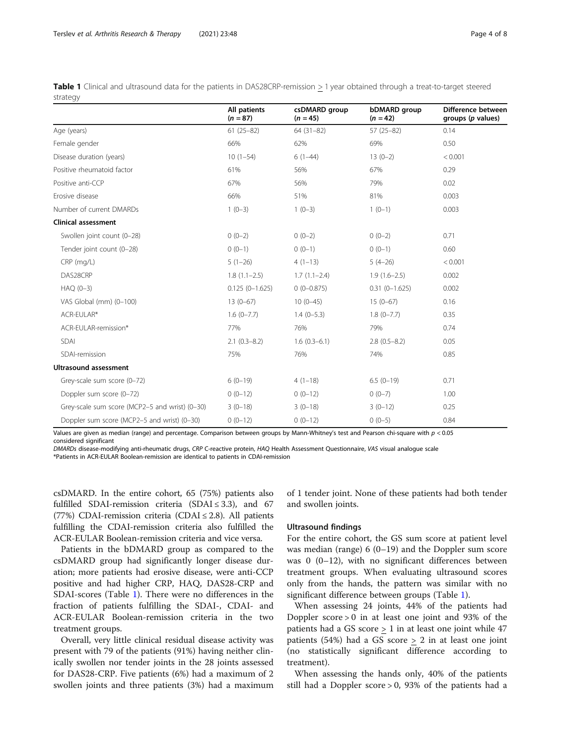<span id="page-3-0"></span>

|          |  |  |  | Table 1 Clinical and ultrasound data for the patients in DAS28CRP-remission > 1 year obtained through a treat-to-target steered |  |  |
|----------|--|--|--|---------------------------------------------------------------------------------------------------------------------------------|--|--|
| strategy |  |  |  |                                                                                                                                 |  |  |

|                                                | All patients<br>$(n = 87)$ | csDMARD group<br>$(n = 45)$ | bDMARD group<br>$(n = 42)$ | Difference between<br>groups (p values) |
|------------------------------------------------|----------------------------|-----------------------------|----------------------------|-----------------------------------------|
| Age (years)                                    | $61(25-82)$                | $64(31-82)$                 | $57(25-82)$                | 0.14                                    |
| Female gender                                  | 66%                        | 62%                         | 69%                        | 0.50                                    |
| Disease duration (years)                       | $10(1-54)$                 | $6(1-44)$                   | $13(0-2)$                  | < 0.001                                 |
| Positive rheumatoid factor                     | 61%                        | 56%                         | 67%                        | 0.29                                    |
| Positive anti-CCP                              | 67%                        | 56%                         | 79%                        | 0.02                                    |
| Frosive disease                                | 66%                        | 51%                         | 81%                        | 0.003                                   |
| Number of current DMARDs                       | $1(0-3)$                   | $1(0-3)$                    | $1(0-1)$                   | 0.003                                   |
| <b>Clinical assessment</b>                     |                            |                             |                            |                                         |
| Swollen joint count (0-28)                     | $0(0-2)$                   | $0(0-2)$                    | $0(0-2)$                   | 0.71                                    |
| Tender joint count (0-28)                      | $0(0-1)$                   | $0(0-1)$                    | $0(0-1)$                   | 0.60                                    |
| $CRP$ (mg/L)                                   | $5(1-26)$                  | $4(1-13)$                   | $5(4-26)$                  | < 0.001                                 |
| DAS28CRP                                       | $1.8(1.1-2.5)$             | $1.7(1.1-2.4)$              | $1.9(1.6-2.5)$             | 0.002                                   |
| $HAQ(0-3)$                                     | $0.125(0-1.625)$           | $0(0-0.875)$                | $0.31(0 - 1.625)$          | 0.002                                   |
| VAS Global (mm) (0-100)                        | $13(0-67)$                 | $10(0-45)$                  | $15(0-67)$                 | 0.16                                    |
| ACR-EULAR*                                     | $1.6(0-7.7)$               | $1.4(0-5.3)$                | $1.8(0 - 7.7)$             | 0.35                                    |
| ACR-EULAR-remission*                           | 77%                        | 76%                         | 79%                        | 0.74                                    |
| SDAI                                           | $2.1(0.3-8.2)$             | $1.6(0.3-6.1)$              | $2.8(0.5-8.2)$             | 0.05                                    |
| SDAI-remission                                 | 75%                        | 76%                         | 74%                        | 0.85                                    |
| <b>Ultrasound assessment</b>                   |                            |                             |                            |                                         |
| Grey-scale sum score (0-72)                    | $6(0-19)$                  | $4(1-18)$                   | $6.5(0-19)$                | 0.71                                    |
| Doppler sum score (0-72)                       | $0(0-12)$                  | $0(0-12)$                   | $0(0-7)$                   | 1.00                                    |
| Grey-scale sum score (MCP2-5 and wrist) (0-30) | $3(0-18)$                  | $3(0-18)$                   | $3(0-12)$                  | 0.25                                    |
| Doppler sum score (MCP2-5 and wrist) (0-30)    | $0(0-12)$                  | $0(0-12)$                   | $0(0-5)$                   | 0.84                                    |

Values are given as median (range) and percentage. Comparison between groups by Mann-Whitney's test and Pearson chi-square with p < 0.05 considered significant

DMARDs disease-modifying anti-rheumatic drugs, CRP C-reactive protein, HAQ Health Assessment Questionnaire, VAS visual analogue scale \*Patients in ACR-EULAR Boolean-remission are identical to patients in CDAI-remission

csDMARD. In the entire cohort, 65 (75%) patients also fulfilled SDAI-remission criteria (SDAI  $\leq$  3.3), and 67 (77%) CDAI-remission criteria (CDAI  $\leq$  2.8). All patients fulfilling the CDAI-remission criteria also fulfilled the ACR-EULAR Boolean-remission criteria and vice versa.

Patients in the bDMARD group as compared to the csDMARD group had significantly longer disease duration; more patients had erosive disease, were anti-CCP positive and had higher CRP, HAQ, DAS28-CRP and SDAI-scores (Table 1). There were no differences in the fraction of patients fulfilling the SDAI-, CDAI- and ACR-EULAR Boolean-remission criteria in the two treatment groups.

Overall, very little clinical residual disease activity was present with 79 of the patients (91%) having neither clinically swollen nor tender joints in the 28 joints assessed for DAS28-CRP. Five patients (6%) had a maximum of 2 swollen joints and three patients (3%) had a maximum

of 1 tender joint. None of these patients had both tender and swollen joints.

#### Ultrasound findings

For the entire cohort, the GS sum score at patient level was median (range)  $6(0-19)$  and the Doppler sum score was 0 (0–12), with no significant differences between treatment groups. When evaluating ultrasound scores only from the hands, the pattern was similar with no significant difference between groups (Table 1).

When assessing 24 joints, 44% of the patients had Doppler score > 0 in at least one joint and 93% of the patients had a GS score > 1 in at least one joint while 47 patients (54%) had a GS score  $\geq$  2 in at least one joint (no statistically significant difference according to treatment).

When assessing the hands only, 40% of the patients still had a Doppler score > 0, 93% of the patients had a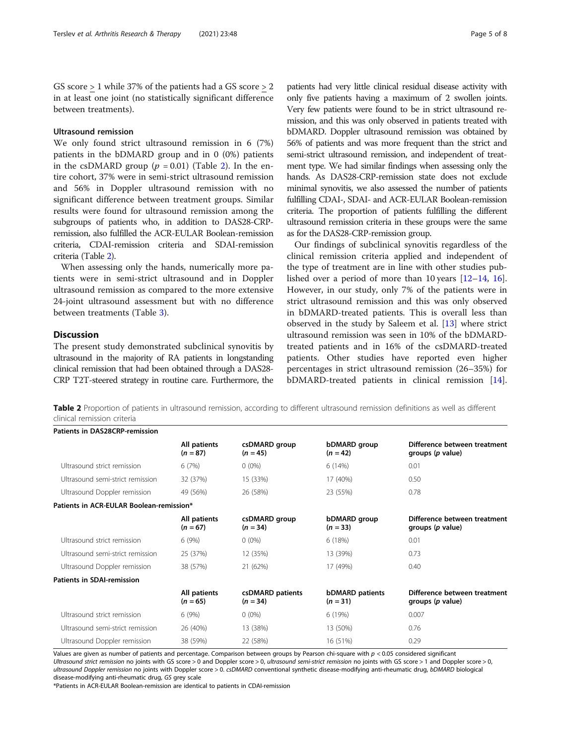GS score > 1 while 37% of the patients had a GS score > 2 in at least one joint (no statistically significant difference between treatments).

# Ultrasound remission

We only found strict ultrasound remission in 6 (7%) patients in the bDMARD group and in 0 (0%) patients in the csDMARD group ( $p = 0.01$ ) (Table 2). In the entire cohort, 37% were in semi-strict ultrasound remission and 56% in Doppler ultrasound remission with no significant difference between treatment groups. Similar results were found for ultrasound remission among the subgroups of patients who, in addition to DAS28-CRPremission, also fulfilled the ACR-EULAR Boolean-remission criteria, CDAI-remission criteria and SDAI-remission criteria (Table 2).

When assessing only the hands, numerically more patients were in semi-strict ultrasound and in Doppler ultrasound remission as compared to the more extensive 24-joint ultrasound assessment but with no difference between treatments (Table [3](#page-5-0)).

# **Discussion**

The present study demonstrated subclinical synovitis by ultrasound in the majority of RA patients in longstanding clinical remission that had been obtained through a DAS28- CRP T2T-steered strategy in routine care. Furthermore, the

patients had very little clinical residual disease activity with only five patients having a maximum of 2 swollen joints. Very few patients were found to be in strict ultrasound remission, and this was only observed in patients treated with bDMARD. Doppler ultrasound remission was obtained by 56% of patients and was more frequent than the strict and semi-strict ultrasound remission, and independent of treatment type. We had similar findings when assessing only the hands. As DAS28-CRP-remission state does not exclude minimal synovitis, we also assessed the number of patients fulfilling CDAI-, SDAI- and ACR-EULAR Boolean-remission criteria. The proportion of patients fulfilling the different ultrasound remission criteria in these groups were the same as for the DAS28-CRP-remission group.

Our findings of subclinical synovitis regardless of the clinical remission criteria applied and independent of the type of treatment are in line with other studies published over a period of more than 10 years [[12](#page-6-0)–[14](#page-6-0), [16](#page-7-0)]. However, in our study, only 7% of the patients were in strict ultrasound remission and this was only observed in bDMARD-treated patients. This is overall less than observed in the study by Saleem et al. [[13](#page-6-0)] where strict ultrasound remission was seen in 10% of the bDMARDtreated patients and in 16% of the csDMARD-treated patients. Other studies have reported even higher percentages in strict ultrasound remission (26–35%) for bDMARD-treated patients in clinical remission [\[14](#page-6-0)].

Table 2 Proportion of patients in ultrasound remission, according to different ultrasound remission definitions as well as different clinical remission criteria

| <b>Patients in DAS28CRP-remission</b>    |                            |                                |                                      |                                                  |  |
|------------------------------------------|----------------------------|--------------------------------|--------------------------------------|--------------------------------------------------|--|
|                                          | All patients<br>$(n = 87)$ | csDMARD group<br>$(n = 45)$    | bDMARD group<br>$(n = 42)$           | Difference between treatment<br>groups (p value) |  |
| Ultrasound strict remission              | 6(7%)                      | $0(0\%)$                       | 6(14%)                               | 0.01                                             |  |
| Ultrasound semi-strict remission         | 32 (37%)                   | 15 (33%)                       | 17 (40%)                             | 0.50                                             |  |
| Ultrasound Doppler remission             | 49 (56%)                   | 26 (58%)                       | 23 (55%)                             | 0.78                                             |  |
| Patients in ACR-EULAR Boolean-remission* |                            |                                |                                      |                                                  |  |
|                                          | All patients<br>$(n = 67)$ | csDMARD group<br>$(n = 34)$    | bDMARD group<br>$(n = 33)$           | Difference between treatment<br>groups (p value) |  |
| Ultrasound strict remission              | 6(9%)                      | $0(0\%)$                       | 6(18%)                               | 0.01                                             |  |
| Ultrasound semi-strict remission         | 25 (37%)                   | 12 (35%)                       | 13 (39%)                             | 0.73                                             |  |
| Ultrasound Doppler remission             | 38 (57%)                   | 21 (62%)                       | 17 (49%)                             | 0.40                                             |  |
| <b>Patients in SDAI-remission</b>        |                            |                                |                                      |                                                  |  |
|                                          | All patients<br>$(n = 65)$ | csDMARD patients<br>$(n = 34)$ | <b>bDMARD</b> patients<br>$(n = 31)$ | Difference between treatment<br>groups (p value) |  |
| Ultrasound strict remission              | 6(9%)                      | $0(0\%)$                       | 6(19%)                               | 0.007                                            |  |
| Ultrasound semi-strict remission         | 26 (40%)                   | 13 (38%)                       | 13 (50%)                             | 0.76                                             |  |
| Ultrasound Doppler remission             | 38 (59%)                   | 22 (58%)                       | 16 (51%)                             | 0.29                                             |  |

Values are given as number of patients and percentage. Comparison between groups by Pearson chi-square with  $p < 0.05$  considered significant Ultrasound strict remission no joints with GS score > 0 and Doppler score > 0, ultrasound semi-strict remission no joints with GS score > 1 and Doppler score > 0, ultrasound Doppler remission no joints with Doppler score > 0. csDMARD conventional synthetic disease-modifying anti-rheumatic drug, bDMARD biological disease-modifying anti-rheumatic drug, GS grey scale

\*Patients in ACR-EULAR Boolean-remission are identical to patients in CDAI-remission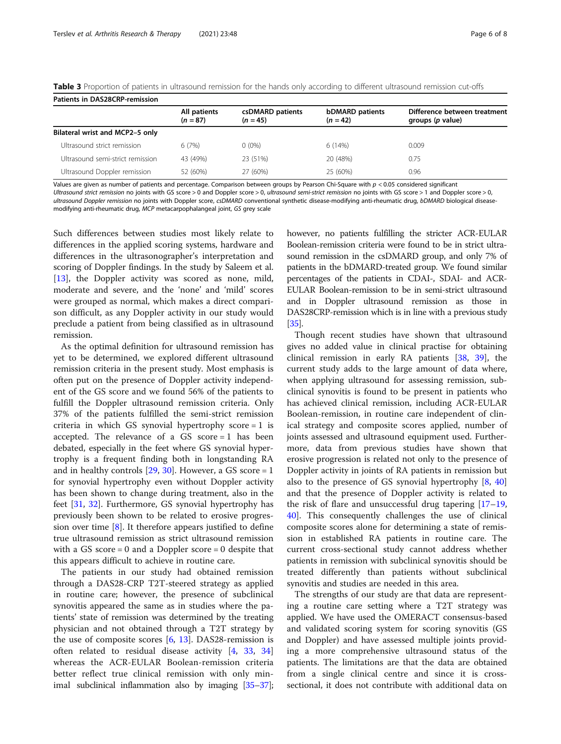| Patients in DAS28CRP-remission   |                            |                                |                                      |                                                  |  |  |  |
|----------------------------------|----------------------------|--------------------------------|--------------------------------------|--------------------------------------------------|--|--|--|
|                                  | All patients<br>$(n = 87)$ | csDMARD patients<br>$(n = 45)$ | <b>bDMARD</b> patients<br>$(n = 42)$ | Difference between treatment<br>groups (p value) |  |  |  |
| Bilateral wrist and MCP2-5 only  |                            |                                |                                      |                                                  |  |  |  |
| Ultrasound strict remission      | 6(7%)                      | $0(0\%)$                       | 6(14%)                               | 0.009                                            |  |  |  |
| Ultrasound semi-strict remission | 43 (49%)                   | 23 (51%)                       | 20 (48%)                             | 0.75                                             |  |  |  |
| Ultrasound Doppler remission     | 52 (60%)                   | 27 (60%)                       | 25 (60%)                             | 0.96                                             |  |  |  |

<span id="page-5-0"></span>Table 3 Proportion of patients in ultrasound remission for the hands only according to different ultrasound remission cut-offs

Values are given as number of patients and percentage. Comparison between groups by Pearson Chi-Square with p < 0.05 considered significant

Ultrasound strict remission no joints with GS score > 0 and Doppler score > 0, ultrasound semi-strict remission no joints with GS score > 1 and Doppler score > 0, ultrasound Doppler remission no joints with Doppler score, csDMARD conventional synthetic disease-modifying anti-rheumatic drug, bDMARD biological diseasemodifying anti-rheumatic drug, MCP metacarpophalangeal joint, GS grey scale

Such differences between studies most likely relate to differences in the applied scoring systems, hardware and differences in the ultrasonographer's interpretation and scoring of Doppler findings. In the study by Saleem et al. [[13\]](#page-6-0), the Doppler activity was scored as none, mild, moderate and severe, and the 'none' and 'mild' scores were grouped as normal, which makes a direct comparison difficult, as any Doppler activity in our study would preclude a patient from being classified as in ultrasound remission.

As the optimal definition for ultrasound remission has yet to be determined, we explored different ultrasound remission criteria in the present study. Most emphasis is often put on the presence of Doppler activity independent of the GS score and we found 56% of the patients to fulfill the Doppler ultrasound remission criteria. Only 37% of the patients fulfilled the semi-strict remission criteria in which GS synovial hypertrophy score = 1 is accepted. The relevance of a GS score = 1 has been debated, especially in the feet where GS synovial hypertrophy is a frequent finding both in longstanding RA and in healthy controls  $[29, 30]$  $[29, 30]$  $[29, 30]$  $[29, 30]$ . However, a GS score = 1 for synovial hypertrophy even without Doppler activity has been shown to change during treatment, also in the feet [\[31](#page-7-0), [32\]](#page-7-0). Furthermore, GS synovial hypertrophy has previously been shown to be related to erosive progression over time [[8\]](#page-6-0). It therefore appears justified to define true ultrasound remission as strict ultrasound remission with a GS score  $= 0$  and a Doppler score  $= 0$  despite that this appears difficult to achieve in routine care.

The patients in our study had obtained remission through a DAS28-CRP T2T-steered strategy as applied in routine care; however, the presence of subclinical synovitis appeared the same as in studies where the patients' state of remission was determined by the treating physician and not obtained through a T2T strategy by the use of composite scores [\[6](#page-6-0), [13\]](#page-6-0). DAS28-remission is often related to residual disease activity [[4](#page-6-0), [33,](#page-7-0) [34](#page-7-0)] whereas the ACR-EULAR Boolean-remission criteria better reflect true clinical remission with only minimal subclinical inflammation also by imaging [\[35](#page-7-0)–[37](#page-7-0)]; however, no patients fulfilling the stricter ACR-EULAR Boolean-remission criteria were found to be in strict ultrasound remission in the csDMARD group, and only 7% of patients in the bDMARD-treated group. We found similar percentages of the patients in CDAI-, SDAI- and ACR-EULAR Boolean-remission to be in semi-strict ultrasound and in Doppler ultrasound remission as those in DAS28CRP-remission which is in line with a previous study [[35](#page-7-0)].

Though recent studies have shown that ultrasound gives no added value in clinical practise for obtaining clinical remission in early RA patients [\[38,](#page-7-0) [39](#page-7-0)], the current study adds to the large amount of data where, when applying ultrasound for assessing remission, subclinical synovitis is found to be present in patients who has achieved clinical remission, including ACR-EULAR Boolean-remission, in routine care independent of clinical strategy and composite scores applied, number of joints assessed and ultrasound equipment used. Furthermore, data from previous studies have shown that erosive progression is related not only to the presence of Doppler activity in joints of RA patients in remission but also to the presence of GS synovial hypertrophy [[8,](#page-6-0) [40](#page-7-0)] and that the presence of Doppler activity is related to the risk of flare and unsuccessful drug tapering  $[17-19,$  $[17-19,$  $[17-19,$  $[17-19,$  $[17-19,$ [40\]](#page-7-0). This consequently challenges the use of clinical composite scores alone for determining a state of remission in established RA patients in routine care. The current cross-sectional study cannot address whether patients in remission with subclinical synovitis should be treated differently than patients without subclinical synovitis and studies are needed in this area.

The strengths of our study are that data are representing a routine care setting where a T2T strategy was applied. We have used the OMERACT consensus-based and validated scoring system for scoring synovitis (GS and Doppler) and have assessed multiple joints providing a more comprehensive ultrasound status of the patients. The limitations are that the data are obtained from a single clinical centre and since it is crosssectional, it does not contribute with additional data on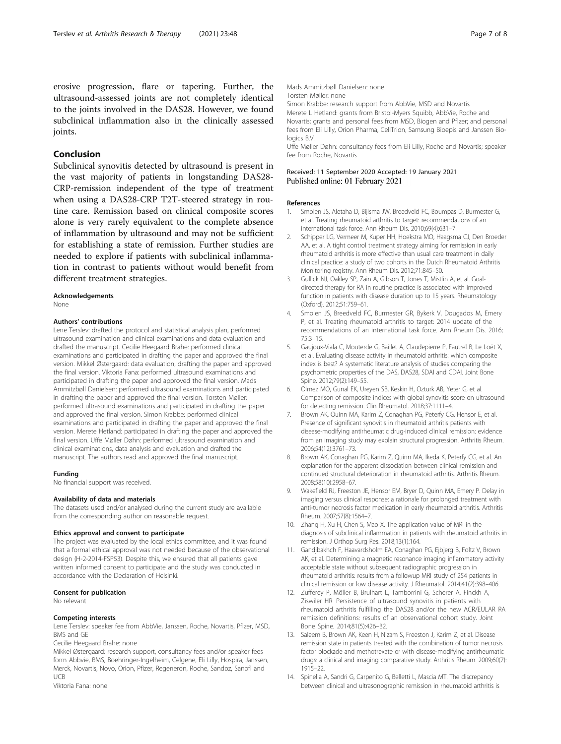<span id="page-6-0"></span>erosive progression, flare or tapering. Further, the ultrasound-assessed joints are not completely identical to the joints involved in the DAS28. However, we found subclinical inflammation also in the clinically assessed joints.

# Conclusion

Subclinical synovitis detected by ultrasound is present in the vast majority of patients in longstanding DAS28- CRP-remission independent of the type of treatment when using a DAS28-CRP T2T-steered strategy in routine care. Remission based on clinical composite scores alone is very rarely equivalent to the complete absence of inflammation by ultrasound and may not be sufficient for establishing a state of remission. Further studies are needed to explore if patients with subclinical inflammation in contrast to patients without would benefit from different treatment strategies.

#### Acknowledgements

None

#### Authors' contributions

Lene Terslev: drafted the protocol and statistical analysis plan, performed ultrasound examination and clinical examinations and data evaluation and drafted the manuscript. Cecilie Heegaard Brahe: performed clinical examinations and participated in drafting the paper and approved the final version. Mikkel Østergaard: data evaluation, drafting the paper and approved the final version. Viktoria Fana: performed ultrasound examinations and participated in drafting the paper and approved the final version. Mads Ammitzbøll Danielsen: performed ultrasound examinations and participated in drafting the paper and approved the final version. Torsten Møller: performed ultrasound examinations and participated in drafting the paper and approved the final version. Simon Krabbe: performed clinical examinations and participated in drafting the paper and approved the final version. Merete Hetland: participated in drafting the paper and approved the final version. Uffe Møller Døhn: performed ultrasound examination and clinical examinations, data analysis and evaluation and drafted the manuscript. The authors read and approved the final manuscript.

#### Funding

No financial support was received.

#### Availability of data and materials

The datasets used and/or analysed during the current study are available from the corresponding author on reasonable request.

#### Ethics approval and consent to participate

The project was evaluated by the local ethics committee, and it was found that a formal ethical approval was not needed because of the observational design (H-2-2014-FSP53). Despite this, we ensured that all patients gave written informed consent to participate and the study was conducted in accordance with the Declaration of Helsinki.

#### Consent for publication

No relevant

#### Competing interests

Lene Terslev: speaker fee from AbbVie, Janssen, Roche, Novartis, Pfizer, MSD, BMS and GE

Cecilie Heegaard Brahe: none

Mikkel Østergaard: research support, consultancy fees and/or speaker fees form Abbvie, BMS, Boehringer-Ingelheim, Celgene, Eli Lilly, Hospira, Janssen, Merck, Novartis, Novo, Orion, Pfizer, Regeneron, Roche, Sandoz, Sanofi and UCB

Viktoria Fana: none

## Torsten Møller: none

Simon Krabbe: research support from AbbVie, MSD and Novartis Merete L Hetland: grants from Bristol-Myers Squibb, AbbVie, Roche and Novartis; grants and personal fees from MSD, Biogen and Pfizer; and personal fees from Eli Lilly, Orion Pharma, CellTrion, Samsung Bioepis and Janssen Biologics B.V.

Uffe Møller Døhn: consultancy fees from Eli Lilly, Roche and Novartis; speaker fee from Roche, Novartis

#### Received: 11 September 2020 Accepted: 19 January 2021 Published online: 01 February 2021

#### References

- 1. Smolen JS, Aletaha D, Bijlsma JW, Breedveld FC, Boumpas D, Burmester G, et al. Treating rheumatoid arthritis to target: recommendations of an international task force. Ann Rheum Dis. 2010;69(4):631–7.
- 2. Schipper LG, Vermeer M, Kuper HH, Hoekstra MO, Haagsma CJ, Den Broeder AA, et al. A tight control treatment strategy aiming for remission in early rheumatoid arthritis is more effective than usual care treatment in daily clinical practice: a study of two cohorts in the Dutch Rheumatoid Arthritis Monitoring registry. Ann Rheum Dis. 2012;71:845–50.
- 3. Gullick NJ, Oakley SP, Zain A, Gibson T, Jones T, Mistlin A, et al. Goaldirected therapy for RA in routine practice is associated with improved function in patients with disease duration up to 15 years. Rheumatology (Oxford). 2012;51:759–61.
- 4. Smolen JS, Breedveld FC, Burmester GR, Bykerk V, Dougados M, Emery P, et al. Treating rheumatoid arthritis to target: 2014 update of the recommendations of an international task force. Ann Rheum Dis. 2016; 75:3–15.
- 5. Gaujoux-Viala C, Mouterde G, Baillet A, Claudepierre P, Fautrel B, Le Loët X, et al. Evaluating disease activity in rheumatoid arthritis: which composite index is best? A systematic literature analysis of studies comparing the psychometric properties of the DAS, DAS28, SDAI and CDAI. Joint Bone Spine. 2012;79(2):149–55.
- 6. Olmez MO, Gunal EK, Ureyen SB, Keskin H, Ozturk AB, Yeter G, et al. Comparison of composite indices with global synovitis score on ultrasound for detecting remission. Clin Rheumatol. 2018;37:1111–4.
- 7. Brown AK, Quinn MA, Karim Z, Conaghan PG, Peterfy CG, Hensor E, et al. Presence of significant synovitis in rheumatoid arthritis patients with disease-modifying antirheumatic drug-induced clinical remission: evidence from an imaging study may explain structural progression. Arthritis Rheum. 2006;54(12):3761–73.
- 8. Brown AK, Conaghan PG, Karim Z, Quinn MA, Ikeda K, Peterfy CG, et al. An explanation for the apparent dissociation between clinical remission and continued structural deterioration in rheumatoid arthritis. Arthritis Rheum. 2008;58(10):2958–67.
- 9. Wakefield RJ, Freeston JE, Hensor EM, Bryer D, Quinn MA, Emery P. Delay in imaging versus clinical response: a rationale for prolonged treatment with anti-tumor necrosis factor medication in early rheumatoid arthritis. Arthritis Rheum. 2007;57(8):1564–7.
- 10. Zhang H, Xu H, Chen S, Mao X. The application value of MRI in the diagnosis of subclinical inflammation in patients with rheumatoid arthritis in remission. J Orthop Surg Res. 2018;13(1):164.
- 11. Gandjbakhch F, Haavardsholm EA, Conaghan PG, Ejbjerg B, Foltz V, Brown AK, et al. Determining a magnetic resonance imaging inflammatory activity acceptable state without subsequent radiographic progression in rheumatoid arthritis: results from a followup MRI study of 254 patients in clinical remission or low disease activity. J Rheumatol. 2014;41(2):398–406.
- 12. Zufferey P, Möller B, Brulhart L, Tamborrini G, Scherer A, Finckh A, Ziswiler HR. Persistence of ultrasound synovitis in patients with rheumatoid arthritis fulfilling the DAS28 and/or the new ACR/EULAR RA remission definitions: results of an observational cohort study. Joint Bone Spine. 2014;81(5):426–32.
- 13. Saleem B, Brown AK, Keen H, Nizam S, Freeston J, Karim Z, et al. Disease remission state in patients treated with the combination of tumor necrosis factor blockade and methotrexate or with disease-modifying antirheumatic drugs: a clinical and imaging comparative study. Arthritis Rheum. 2009;60(7): 1915–22.
- 14. Spinella A, Sandri G, Carpenito G, Belletti L, Mascia MT. The discrepancy between clinical and ultrasonographic remission in rheumatoid arthritis is